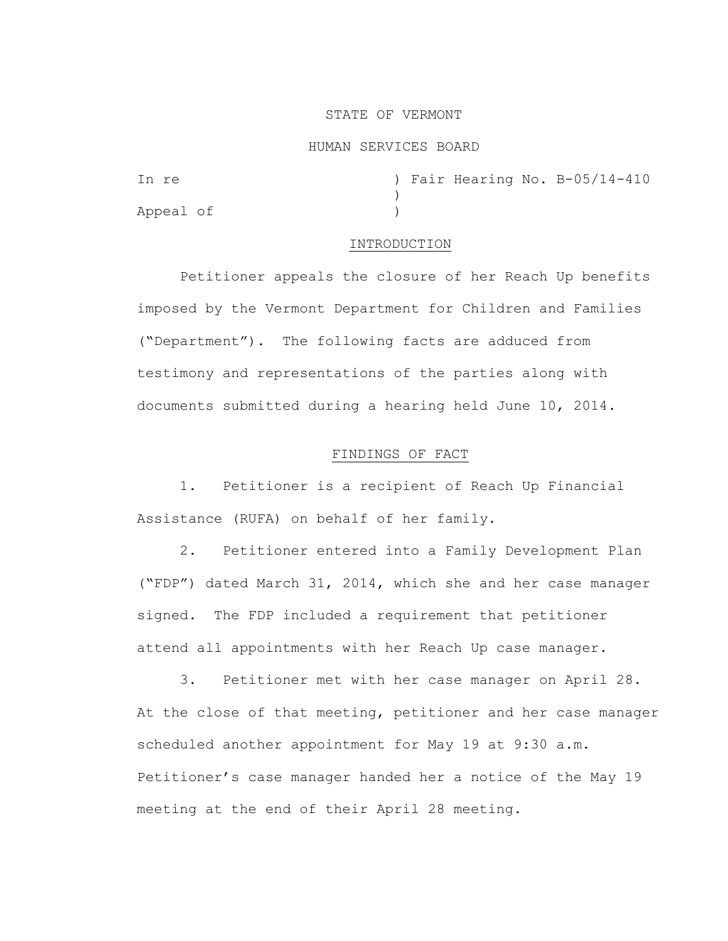# STATE OF VERMONT

## HUMAN SERVICES BOARD

| In re     |  |  | ) Fair Hearing No. B-05/14-410 |
|-----------|--|--|--------------------------------|
|           |  |  |                                |
| Appeal of |  |  |                                |

# INTRODUCTION

Petitioner appeals the closure of her Reach Up benefits imposed by the Vermont Department for Children and Families ("Department"). The following facts are adduced from testimony and representations of the parties along with documents submitted during a hearing held June 10, 2014.

# FINDINGS OF FACT

1. Petitioner is a recipient of Reach Up Financial Assistance (RUFA) on behalf of her family.

2. Petitioner entered into a Family Development Plan ("FDP") dated March 31, 2014, which she and her case manager signed. The FDP included a requirement that petitioner attend all appointments with her Reach Up case manager.

3. Petitioner met with her case manager on April 28. At the close of that meeting, petitioner and her case manager scheduled another appointment for May 19 at 9:30 a.m. Petitioner's case manager handed her a notice of the May 19 meeting at the end of their April 28 meeting.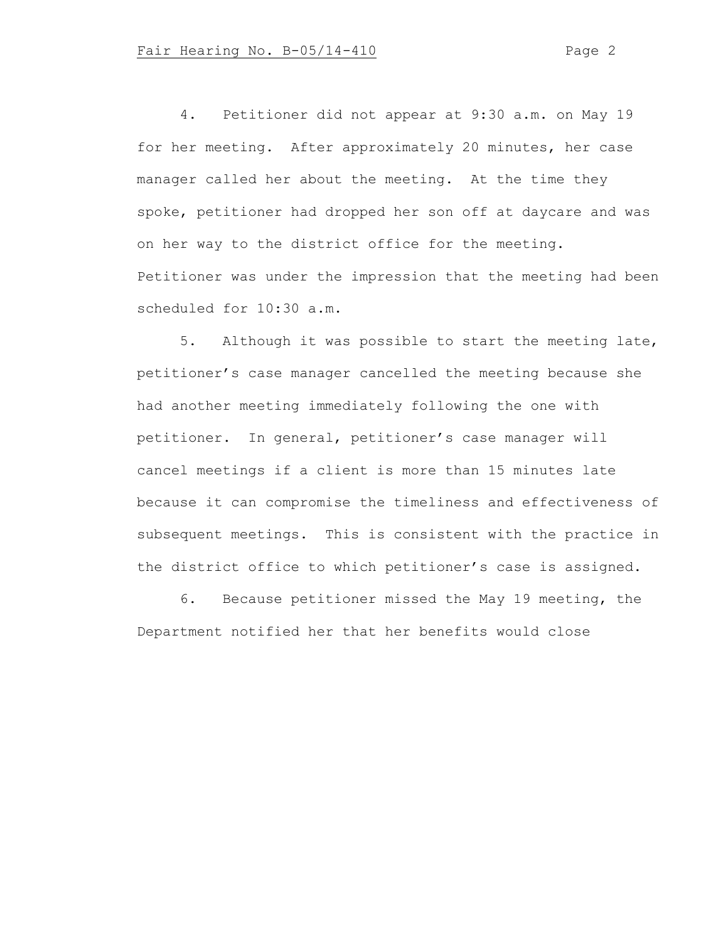4. Petitioner did not appear at 9:30 a.m. on May 19 for her meeting. After approximately 20 minutes, her case manager called her about the meeting. At the time they spoke, petitioner had dropped her son off at daycare and was on her way to the district office for the meeting. Petitioner was under the impression that the meeting had been scheduled for 10:30 a.m.

5. Although it was possible to start the meeting late, petitioner's case manager cancelled the meeting because she had another meeting immediately following the one with petitioner. In general, petitioner's case manager will cancel meetings if a client is more than 15 minutes late because it can compromise the timeliness and effectiveness of subsequent meetings. This is consistent with the practice in the district office to which petitioner's case is assigned.

6. Because petitioner missed the May 19 meeting, the Department notified her that her benefits would close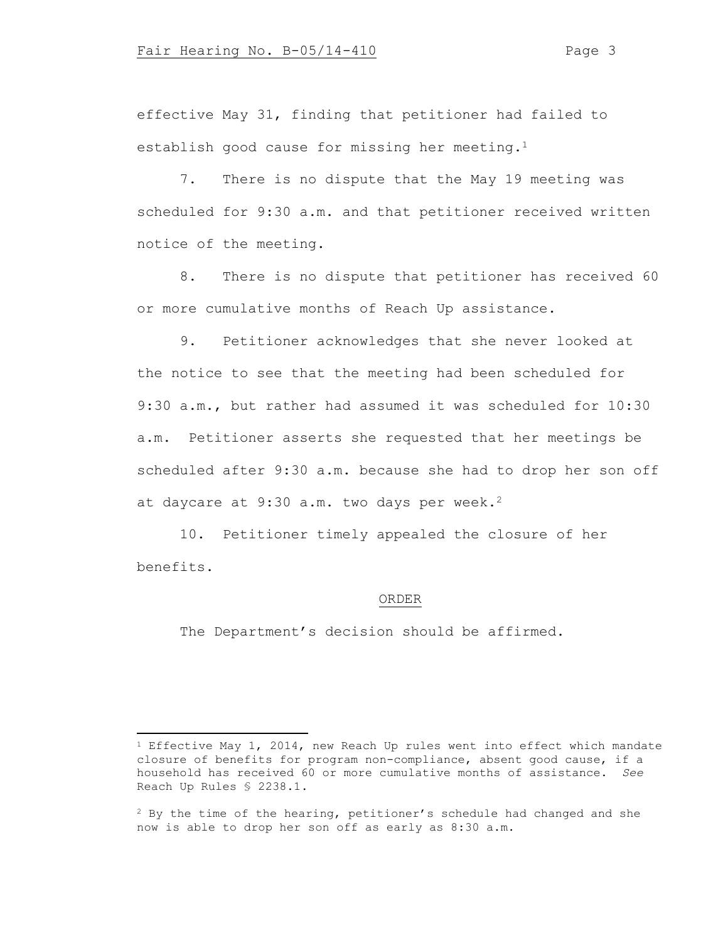effective May 31, finding that petitioner had failed to establish good cause for missing her meeting.<sup>1</sup>

7. There is no dispute that the May 19 meeting was scheduled for 9:30 a.m. and that petitioner received written notice of the meeting.

8. There is no dispute that petitioner has received 60 or more cumulative months of Reach Up assistance.

9. Petitioner acknowledges that she never looked at the notice to see that the meeting had been scheduled for 9:30 a.m., but rather had assumed it was scheduled for 10:30 a.m. Petitioner asserts she requested that her meetings be scheduled after 9:30 a.m. because she had to drop her son off at daycare at 9:30 a.m. two days per week.<sup>2</sup>

10. Petitioner timely appealed the closure of her benefits.

#### ORDER

The Department's decision should be affirmed.

<sup>&</sup>lt;sup>1</sup> Effective May 1, 2014, new Reach Up rules went into effect which mandate closure of benefits for program non-compliance, absent good cause, if a household has received 60 or more cumulative months of assistance. *See* Reach Up Rules § 2238.1.

<sup>&</sup>lt;sup>2</sup> By the time of the hearing, petitioner's schedule had changed and she now is able to drop her son off as early as 8:30 a.m.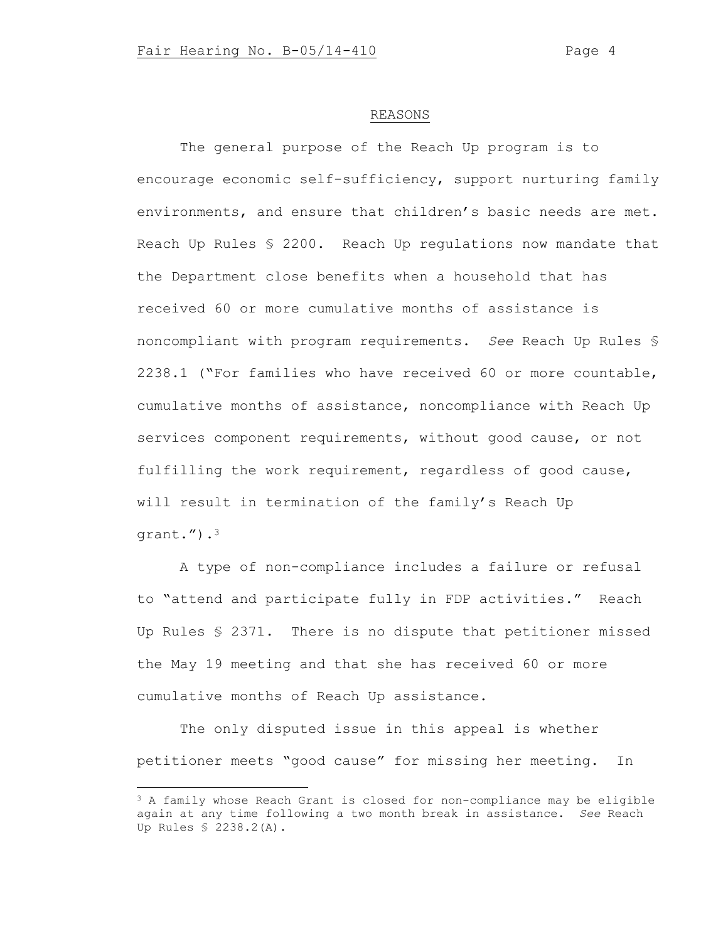### REASONS

The general purpose of the Reach Up program is to encourage economic self-sufficiency, support nurturing family environments, and ensure that children's basic needs are met. Reach Up Rules § 2200. Reach Up regulations now mandate that the Department close benefits when a household that has received 60 or more cumulative months of assistance is noncompliant with program requirements. *See* Reach Up Rules § 2238.1 ("For families who have received 60 or more countable, cumulative months of assistance, noncompliance with Reach Up services component requirements, without good cause, or not fulfilling the work requirement, regardless of good cause, will result in termination of the family's Reach Up grant.").<sup>3</sup>

A type of non-compliance includes a failure or refusal to "attend and participate fully in FDP activities." Reach Up Rules § 2371. There is no dispute that petitioner missed the May 19 meeting and that she has received 60 or more cumulative months of Reach Up assistance.

The only disputed issue in this appeal is whether petitioner meets "good cause" for missing her meeting. In

<sup>&</sup>lt;sup>3</sup> A family whose Reach Grant is closed for non-compliance may be eligible again at any time following a two month break in assistance. *See* Reach Up Rules § 2238.2(A).